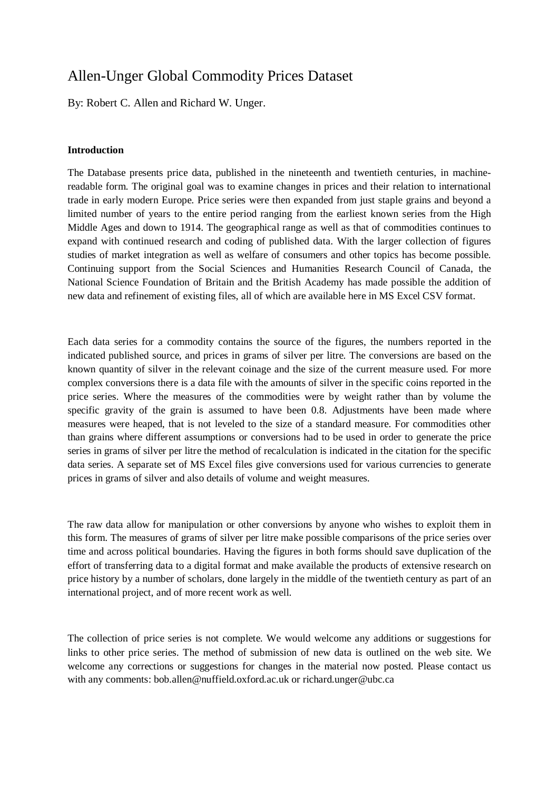## Allen-Unger Global Commodity Prices Dataset

By: Robert C. Allen and Richard W. Unger.

## **Introduction**

The Database presents price data, published in the nineteenth and twentieth centuries, in machinereadable form. The original goal was to examine changes in prices and their relation to international trade in early modern Europe. Price series were then expanded from just staple grains and beyond a limited number of years to the entire period ranging from the earliest known series from the High Middle Ages and down to 1914. The geographical range as well as that of commodities continues to expand with continued research and coding of published data. With the larger collection of figures studies of market integration as well as welfare of consumers and other topics has become possible. Continuing support from the Social Sciences and Humanities Research Council of Canada, the National Science Foundation of Britain and the British Academy has made possible the addition of new data and refinement of existing files, all of which are available here in MS Excel CSV format.

Each data series for a commodity contains the source of the figures, the numbers reported in the indicated published source, and prices in grams of silver per litre. The conversions are based on the known quantity of silver in the relevant coinage and the size of the current measure used. For more complex conversions there is a data file with the amounts of silver in the specific coins reported in the price series. Where the measures of the commodities were by weight rather than by volume the specific gravity of the grain is assumed to have been 0.8. Adjustments have been made where measures were heaped, that is not leveled to the size of a standard measure. For commodities other than grains where different assumptions or conversions had to be used in order to generate the price series in grams of silver per litre the method of recalculation is indicated in the citation for the specific data series. A separate set of MS Excel files give conversions used for various currencies to generate prices in grams of silver and also details of volume and weight measures.

The raw data allow for manipulation or other conversions by anyone who wishes to exploit them in this form. The measures of grams of silver per litre make possible comparisons of the price series over time and across political boundaries. Having the figures in both forms should save duplication of the effort of transferring data to a digital format and make available the products of extensive research on price history by a number of scholars, done largely in the middle of the twentieth century as part of an international project, and of more recent work as well.

The collection of price series is not complete. We would welcome any additions or suggestions for links to other price series. The method of submission of new data is outlined on the web site. We welcome any corrections or suggestions for changes in the material now posted. Please contact us with any comments: bob.allen@nuffield.oxford.ac.uk or richard.unger@ubc.ca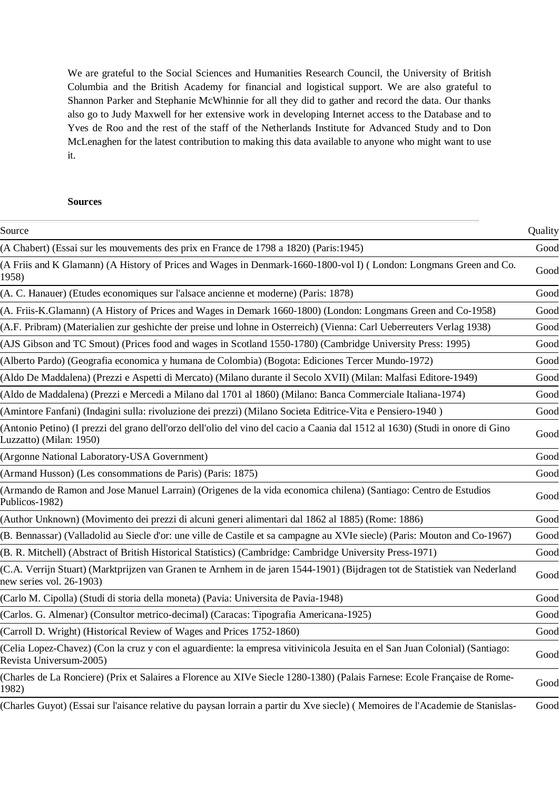We are grateful to the Social Sciences and Humanities Research Council, the University of British Columbia and the British Academy for financial and logistical support. We are also grateful to Shannon Parker and Stephanie McWhinnie for all they did to gather and record the data. Our thanks also go to Judy Maxwell for her extensive work in developing Internet access to the Database and to Yves de Roo and the rest of the staff of the Netherlands Institute for Advanced Study and to Don McLenaghen for the latest contribution to making this data available to anyone who might want to use it.

## **Sources**

| Source                                                                                                                                                    | Quality |
|-----------------------------------------------------------------------------------------------------------------------------------------------------------|---------|
| (A Chabert) (Essai sur les mouvements des prix en France de 1798 a 1820) (Paris: 1945)                                                                    | Good    |
| (A Friis and K Glamann) (A History of Prices and Wages in Denmark-1660-1800-vol I) (London: Longmans Green and Co.<br>1958)                               | Good    |
| (A. C. Hanauer) (Etudes economiques sur l'alsace ancienne et moderne) (Paris: 1878)                                                                       | Good    |
| (A. Friis-K.Glamann) (A History of Prices and Wages in Demark 1660-1800) (London: Longmans Green and Co-1958)                                             | Good    |
| (A.F. Pribram) (Materialien zur geshichte der preise und lohne in Osterreich) (Vienna: Carl Ueberreuters Verlag 1938)                                     | Good    |
| (AJS Gibson and TC Smout) (Prices food and wages in Scotland 1550-1780) (Cambridge University Press: 1995)                                                | Good    |
| (Alberto Pardo) (Geografia economica y humana de Colombia) (Bogota: Ediciones Tercer Mundo-1972)                                                          | Good    |
| (Aldo De Maddalena) (Prezzi e Aspetti di Mercato) (Milano durante il Secolo XVII) (Milan: Malfasi Editore-1949)                                           | Good    |
| (Aldo de Maddalena) (Prezzi e Mercedi a Milano dal 1701 al 1860) (Milano: Banca Commerciale Italiana-1974)                                                | Good    |
| (Amintore Fanfani) (Indagini sulla: rivoluzione dei prezzi) (Milano Societa Editrice-Vita e Pensiero-1940)                                                | Good    |
| (Antonio Petino) (I prezzi del grano dell'orzo dell'olio del vino del cacio a Caania dal 1512 al 1630) (Studi in onore di Gino<br>Luzzatto) (Milan: 1950) | Good    |
| (Argonne National Laboratory-USA Government)                                                                                                              | Good    |
| (Armand Husson) (Les consommations de Paris) (Paris: 1875)                                                                                                | Good    |
| (Armando de Ramon and Jose Manuel Larrain) (Origenes de la vida economica chilena) (Santiago: Centro de Estudios<br>Publicos-1982)                        | Good    |
| (Author Unknown) (Movimento dei prezzi di alcuni generi alimentari dal 1862 al 1885) (Rome: 1886)                                                         | Good    |
| (B. Bennassar) (Valladolid au Siecle d'or: une ville de Castile et sa campagne au XVIe siecle) (Paris: Mouton and Co-1967)                                | Good    |
| (B. R. Mitchell) (Abstract of British Historical Statistics) (Cambridge: Cambridge University Press-1971)                                                 | Good    |
| (C.A. Verrijn Stuart) (Marktprijzen van Granen te Arnhem in de jaren 1544-1901) (Bijdragen tot de Statistiek van Nederland<br>new series vol. 26-1903)    | Good    |
| (Carlo M. Cipolla) (Studi di storia della moneta) (Pavia: Universita de Pavia-1948)                                                                       | Good    |
| (Carlos. G. Almenar) (Consultor metrico-decimal) (Caracas: Tipografia Americana-1925)                                                                     | Good    |
| (Carroll D. Wright) (Historical Review of Wages and Prices 1752-1860)                                                                                     | Good    |
| (Celia Lopez-Chavez) (Con la cruz y con el aguardiente: la empresa vitivinicola Jesuita en el San Juan Colonial) (Santiago:<br>Revista Universum-2005)    | Good    |
| (Charles de La Ronciere) (Prix et Salaires a Florence au XIVe Siecle 1280-1380) (Palais Farnese: Ecole Française de Rome-<br>1982)                        | Good    |
| (Charles Guyot) (Essai sur l'aisance relative du paysan lorrain a partir du Xve siecle) (Memoires de l'Academie de Stanislas-                             | Good    |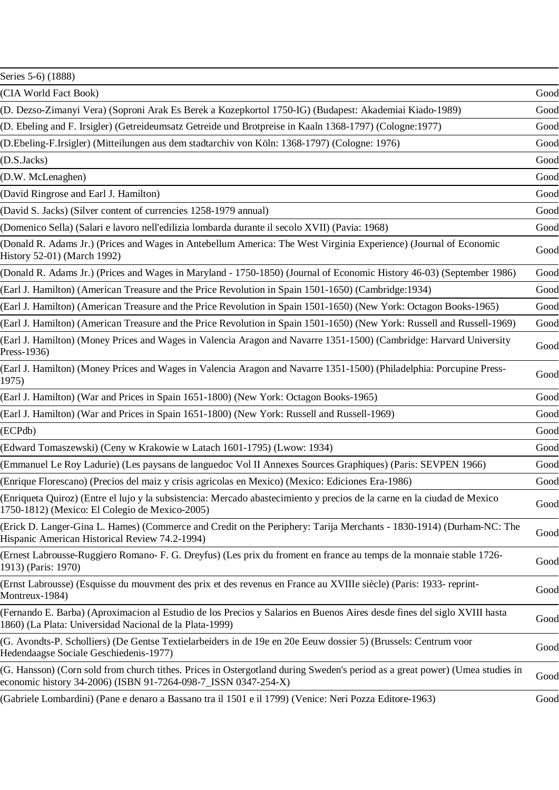| Series 5-6) (1888)                                                                                                                                                                             |      |
|------------------------------------------------------------------------------------------------------------------------------------------------------------------------------------------------|------|
| (CIA World Fact Book)                                                                                                                                                                          | Good |
| (D. Dezso-Zimanyi Vera) (Soproni Arak Es Berek a Kozepkortol 1750-IG) (Budapest: Akademiai Kiado-1989)                                                                                         | Good |
| (D. Ebeling and F. Irsigler) (Getreideumsatz Getreide und Brotpreise in Kaaln 1368-1797) (Cologne: 1977)                                                                                       | Good |
| (D.Ebeling-F.Irsigler) (Mitteilungen aus dem stadtarchiv von Köln: 1368-1797) (Cologne: 1976)                                                                                                  | Good |
| (D.S.Jacks)                                                                                                                                                                                    | Good |
| (D.W. McLenaghen)                                                                                                                                                                              | Good |
| (David Ringrose and Earl J. Hamilton)                                                                                                                                                          | Good |
| (David S. Jacks) (Silver content of currencies 1258-1979 annual)                                                                                                                               | Good |
| (Domenico Sella) (Salari e lavoro nell'edilizia lombarda durante il secolo XVII) (Pavia: 1968)                                                                                                 | Good |
| (Donald R. Adams Jr.) (Prices and Wages in Antebellum America: The West Virginia Experience) (Journal of Economic<br>History 52-01) (March 1992)                                               | Good |
| (Donald R. Adams Jr.) (Prices and Wages in Maryland - 1750-1850) (Journal of Economic History 46-03) (September 1986)                                                                          | Good |
| (Earl J. Hamilton) (American Treasure and the Price Revolution in Spain 1501-1650) (Cambridge: 1934)                                                                                           | Good |
| (Earl J. Hamilton) (American Treasure and the Price Revolution in Spain 1501-1650) (New York: Octagon Books-1965)                                                                              | Good |
| (Earl J. Hamilton) (American Treasure and the Price Revolution in Spain 1501-1650) (New York: Russell and Russell-1969)                                                                        | Good |
| (Earl J. Hamilton) (Money Prices and Wages in Valencia Aragon and Navarre 1351-1500) (Cambridge: Harvard University<br>Press-1936)                                                             | Good |
| (Earl J. Hamilton) (Money Prices and Wages in Valencia Aragon and Navarre 1351-1500) (Philadelphia: Porcupine Press-<br>1975)                                                                  | Good |
| (Earl J. Hamilton) (War and Prices in Spain 1651-1800) (New York: Octagon Books-1965)                                                                                                          | Good |
| (Earl J. Hamilton) (War and Prices in Spain 1651-1800) (New York: Russell and Russell-1969)                                                                                                    | Good |
| (ECPdb)                                                                                                                                                                                        | Good |
| (Edward Tomaszewski) (Ceny w Krakowie w Latach 1601-1795) (Lwow: 1934)                                                                                                                         | Good |
| (Emmanuel Le Roy Ladurie) (Les paysans de languedoc Vol II Annexes Sources Graphiques) (Paris: SEVPEN 1966)                                                                                    | Good |
| (Enrique Florescano) (Precios del maiz y crisis agricolas en Mexico) (Mexico: Ediciones Era-1986)                                                                                              | Good |
| (Enriqueta Quiroz) (Entre el lujo y la subsistencia: Mercado abastecimiento y precios de la carne en la ciudad de Mexico<br>1750-1812) (Mexico: El Colegio de Mexico-2005)                     | Good |
| (Erick D. Langer-Gina L. Hames) (Commerce and Credit on the Periphery: Tarija Merchants - 1830-1914) (Durham-NC: The<br>Hispanic American Historical Review 74.2-1994)                         | Good |
| (Ernest Labrousse-Ruggiero Romano- F. G. Dreyfus) (Les prix du froment en france au temps de la monnaie stable 1726-<br>1913) (Paris: 1970)                                                    | Good |
| (Ernst Labrousse) (Esquisse du mouvment des prix et des revenus en France au XVIIIe siècle) (Paris: 1933- reprint-<br>Montreux-1984)                                                           | Good |
| (Fernando E. Barba) (Aproximacion al Estudio de los Precios y Salarios en Buenos Aires desde fines del siglo XVIII hasta<br>1860) (La Plata: Universidad Nacional de la Plata-1999)            | Good |
| (G. Avondts-P. Scholliers) (De Gentse Textielarbeiders in de 19e en 20e Eeuw dossier 5) (Brussels: Centrum voor<br>Hedendaagse Sociale Geschiedenis-1977)                                      | Good |
| (G. Hansson) (Corn sold from church tithes. Prices in Ostergotland during Sweden's period as a great power) (Umea studies in<br>economic history 34-2006) (ISBN 91-7264-098-7_ISSN 0347-254-X) | Good |
| (Gabriele Lombardini) (Pane e denaro a Bassano tra il 1501 e il 1799) (Venice: Neri Pozza Editore-1963)                                                                                        | Good |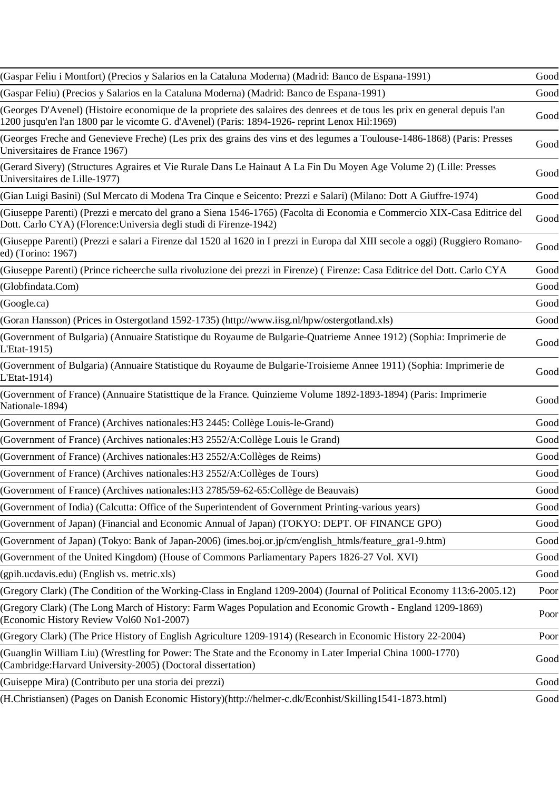| (Gaspar Feliu i Montfort) (Precios y Salarios en la Cataluna Moderna) (Madrid: Banco de Espana-1991)                                                                                                                          | Good |
|-------------------------------------------------------------------------------------------------------------------------------------------------------------------------------------------------------------------------------|------|
| (Gaspar Feliu) (Precios y Salarios en la Cataluna Moderna) (Madrid: Banco de Espana-1991)                                                                                                                                     | Good |
| (Georges D'Avenel) (Histoire economique de la propriete des salaires des denrees et de tous les prix en general depuis l'an<br>1200 jusqu'en l'an 1800 par le vicomte G. d'Avenel) (Paris: 1894-1926- reprint Lenox Hil:1969) | Good |
| (Georges Freche and Genevieve Freche) (Les prix des grains des vins et des legumes a Toulouse-1486-1868) (Paris: Presses<br>Universitaires de France 1967)                                                                    | Good |
| (Gerard Sivery) (Structures Agraires et Vie Rurale Dans Le Hainaut A La Fin Du Moyen Age Volume 2) (Lille: Presses<br>Universitaires de Lille-1977)                                                                           | Good |
| (Gian Luigi Basini) (Sul Mercato di Modena Tra Cinque e Seicento: Prezzi e Salari) (Milano: Dott A Giuffre-1974)                                                                                                              | Good |
| (Giuseppe Parenti) (Prezzi e mercato del grano a Siena 1546-1765) (Facolta di Economia e Commercio XIX-Casa Editrice del<br>Dott. Carlo CYA) (Florence: Universia degli studi di Firenze-1942)                                | Good |
| (Giuseppe Parenti) (Prezzi e salari a Firenze dal 1520 al 1620 in I prezzi in Europa dal XIII secole a oggi) (Ruggiero Romano-<br>ed) (Torino: 1967)                                                                          | Good |
| (Giuseppe Parenti) (Prince richeerche sulla rivoluzione dei prezzi in Firenze) (Firenze: Casa Editrice del Dott. Carlo CYA                                                                                                    | Good |
| (Globfindata.Com)                                                                                                                                                                                                             | Good |
| (Google.ca)                                                                                                                                                                                                                   | Good |
| (Goran Hansson) (Prices in Ostergotland 1592-1735) (http://www.iisg.nl/hpw/ostergotland.xls)                                                                                                                                  | Good |
| (Government of Bulgaria) (Annuaire Statistique du Royaume de Bulgarie-Quatrieme Annee 1912) (Sophia: Imprimerie de<br>L'Etat-1915)                                                                                            | Good |
| (Government of Bulgaria) (Annuaire Statistique du Royaume de Bulgarie-Troisieme Annee 1911) (Sophia: Imprimerie de<br>L'Etat-1914)                                                                                            | Good |
| (Government of France) (Annuaire Statisttique de la France. Quinzieme Volume 1892-1893-1894) (Paris: Imprimerie<br>Nationale-1894)                                                                                            | Good |
| (Government of France) (Archives nationales: H3 2445: Collège Louis-le-Grand)                                                                                                                                                 | Good |
| (Government of France) (Archives nationales: H3 2552/A:Collège Louis le Grand)                                                                                                                                                | Good |
| (Government of France) (Archives nationales: H3 2552/A:Collèges de Reims)                                                                                                                                                     | Good |
| (Government of France) (Archives nationales: H3 2552/A:Collèges de Tours)                                                                                                                                                     | Good |
| (Government of France) (Archives nationales: H3 2785/59-62-65: Collège de Beauvais)                                                                                                                                           | Good |
| (Government of India) (Calcutta: Office of the Superintendent of Government Printing-various years)                                                                                                                           | Good |
| (Government of Japan) (Financial and Economic Annual of Japan) (TOKYO: DEPT. OF FINANCE GPO)                                                                                                                                  | Good |
| (Government of Japan) (Tokyo: Bank of Japan-2006) (imes.boj.or.jp/cm/english_htmls/feature_gra1-9.htm)                                                                                                                        | Good |
| (Government of the United Kingdom) (House of Commons Parliamentary Papers 1826-27 Vol. XVI)                                                                                                                                   | Good |
| (gpih.ucdavis.edu) (English vs. metric.xls)                                                                                                                                                                                   | Good |
| (Gregory Clark) (The Condition of the Working-Class in England 1209-2004) (Journal of Political Economy 113:6-2005.12)                                                                                                        | Poor |
| (Gregory Clark) (The Long March of History: Farm Wages Population and Economic Growth - England 1209-1869)<br>(Economic History Review Vol60 No1-2007)                                                                        | Poor |
| (Gregory Clark) (The Price History of English Agriculture 1209-1914) (Research in Economic History 22-2004)                                                                                                                   | Poor |
| (Guanglin William Liu) (Wrestling for Power: The State and the Economy in Later Imperial China 1000-1770)<br>(Cambridge:Harvard University-2005) (Doctoral dissertation)                                                      | Good |
| (Guiseppe Mira) (Contributo per una storia dei prezzi)                                                                                                                                                                        | Good |
| (H.Christiansen) (Pages on Danish Economic History)(http://helmer-c.dk/Econhist/Skilling1541-1873.html)                                                                                                                       | Good |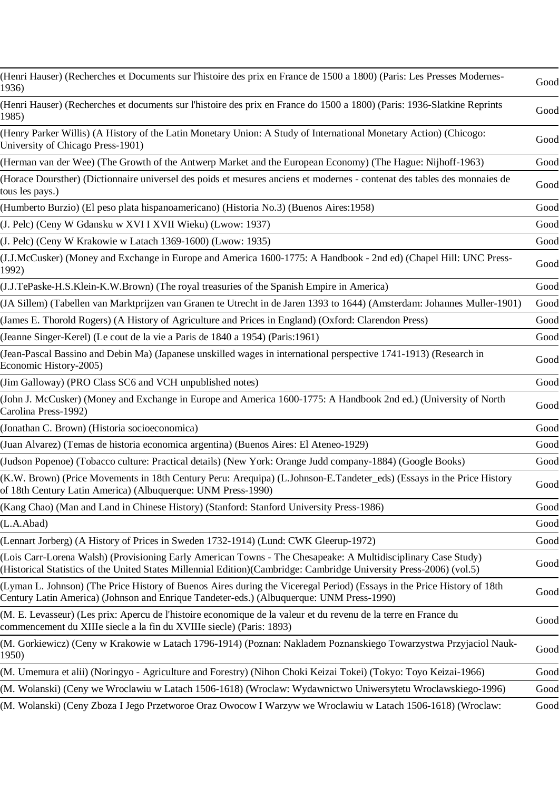| (Henri Hauser) (Recherches et Documents sur l'histoire des prix en France de 1500 a 1800) (Paris: Les Presses Modernes-<br>1936)                                                                                                     | Good |
|--------------------------------------------------------------------------------------------------------------------------------------------------------------------------------------------------------------------------------------|------|
| (Henri Hauser) (Recherches et documents sur l'histoire des prix en France do 1500 a 1800) (Paris: 1936-Slatkine Reprints<br>1985)                                                                                                    | Good |
| (Henry Parker Willis) (A History of the Latin Monetary Union: A Study of International Monetary Action) (Chicogo:<br>University of Chicago Press-1901)                                                                               | Good |
| (Herman van der Wee) (The Growth of the Antwerp Market and the European Economy) (The Hague: Nijhoff-1963)                                                                                                                           | Good |
| (Horace Doursther) (Dictionnaire universel des poids et mesures anciens et modernes - contenat des tables des monnaies de<br>tous les pays.)                                                                                         | Good |
| (Humberto Burzio) (El peso plata hispanoamericano) (Historia No.3) (Buenos Aires:1958)                                                                                                                                               | Good |
| (J. Pelc) (Ceny W Gdansku w XVI I XVII Wieku) (Lwow: 1937)                                                                                                                                                                           | Good |
| (J. Pelc) (Ceny W Krakowie w Latach 1369-1600) (Lwow: 1935)                                                                                                                                                                          | Good |
| (J.J.McCusker) (Money and Exchange in Europe and America 1600-1775: A Handbook - 2nd ed) (Chapel Hill: UNC Press-<br>1992)                                                                                                           | Good |
| (J.J.TePaske-H.S.Klein-K.W.Brown) (The royal treasuries of the Spanish Empire in America)                                                                                                                                            | Good |
| (JA Sillem) (Tabellen van Marktprijzen van Granen te Utrecht in de Jaren 1393 to 1644) (Amsterdam: Johannes Muller-1901)                                                                                                             | Good |
| (James E. Thorold Rogers) (A History of Agriculture and Prices in England) (Oxford: Clarendon Press)                                                                                                                                 | Good |
| (Jeanne Singer-Kerel) (Le cout de la vie a Paris de 1840 a 1954) (Paris: 1961)                                                                                                                                                       | Good |
| (Jean-Pascal Bassino and Debin Ma) (Japanese unskilled wages in international perspective 1741-1913) (Research in<br>Economic History-2005)                                                                                          | Good |
| (Jim Galloway) (PRO Class SC6 and VCH unpublished notes)                                                                                                                                                                             | Good |
| (John J. McCusker) (Money and Exchange in Europe and America 1600-1775: A Handbook 2nd ed.) (University of North<br>Carolina Press-1992)                                                                                             | Good |
| (Jonathan C. Brown) (Historia socioeconomica)                                                                                                                                                                                        | Good |
| (Juan Alvarez) (Temas de historia economica argentina) (Buenos Aires: El Ateneo-1929)                                                                                                                                                | Good |
| (Judson Popenoe) (Tobacco culture: Practical details) (New York: Orange Judd company-1884) (Google Books)                                                                                                                            | Good |
| (K.W. Brown) (Price Movements in 18th Century Peru: Arequipa) (L.Johnson-E.Tandeter_eds) (Essays in the Price History<br>of 18th Century Latin America) (Albuquerque: UNM Press-1990)                                                | Good |
| (Kang Chao) (Man and Land in Chinese History) (Stanford: Stanford University Press-1986)                                                                                                                                             | Good |
| (L.A.Abad)                                                                                                                                                                                                                           | Good |
| (Lennart Jorberg) (A History of Prices in Sweden 1732-1914) (Lund: CWK Gleerup-1972)                                                                                                                                                 | Good |
| (Lois Carr-Lorena Walsh) (Provisioning Early American Towns - The Chesapeake: A Multidisciplinary Case Study)<br>(Historical Statistics of the United States Millennial Edition)(Cambridge: Cambridge University Press-2006) (vol.5) | Good |
| (Lyman L. Johnson) (The Price History of Buenos Aires during the Viceregal Period) (Essays in the Price History of 18th<br>Century Latin America) (Johnson and Enrique Tandeter-eds.) (Albuquerque: UNM Press-1990)                  | Good |
| (M. E. Levasseur) (Les prix: Apercu de l'histoire economique de la valeur et du revenu de la terre en France du<br>commencement du XIIIe siecle a la fin du XVIIIe siecle) (Paris: 1893)                                             | Good |
| (M. Gorkiewicz) (Ceny w Krakowie w Latach 1796-1914) (Poznan: Nakladem Poznanskiego Towarzystwa Przyjaciol Nauk-<br>1950)                                                                                                            | Good |
| (M. Umemura et alii) (Noringyo - Agriculture and Forestry) (Nihon Choki Keizai Tokei) (Tokyo: Toyo Keizai-1966)                                                                                                                      | Good |
| (M. Wolanski) (Ceny we Wroclawiu w Latach 1506-1618) (Wroclaw: Wydawnictwo Uniwersytetu Wroclawskiego-1996)                                                                                                                          | Good |
| (M. Wolanski) (Ceny Zboza I Jego Przetworoe Oraz Owocow I Warzyw we Wroclawiu w Latach 1506-1618) (Wroclaw:                                                                                                                          | Good |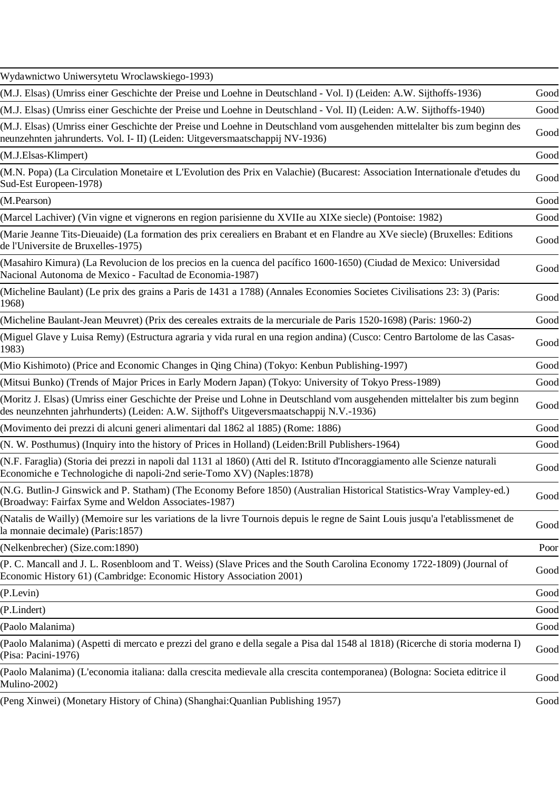| Wydawnictwo Uniwersytetu Wroclawskiego-1993)                                                                                                                                                                         |      |
|----------------------------------------------------------------------------------------------------------------------------------------------------------------------------------------------------------------------|------|
| (M.J. Elsas) (Umriss einer Geschichte der Preise und Loehne in Deutschland - Vol. I) (Leiden: A.W. Sijthoffs-1936)                                                                                                   | Good |
| (M.J. Elsas) (Umriss einer Geschichte der Preise und Loehne in Deutschland - Vol. II) (Leiden: A.W. Sijthoffs-1940)                                                                                                  | Good |
| (M.J. Elsas) (Umriss einer Geschichte der Preise und Loehne in Deutschland vom ausgehenden mittelalter bis zum beginn des<br>neunzehnten jahrunderts. Vol. I- II) (Leiden: Uitgeversmaatschappij NV-1936)            | Good |
| (M.J. Elsas-Klimpert)                                                                                                                                                                                                | Good |
| (M.N. Popa) (La Circulation Monetaire et L'Evolution des Prix en Valachie) (Bucarest: Association Internationale d'etudes du<br>Sud-Est Europeen-1978)                                                               | Good |
| (M.Pearson)                                                                                                                                                                                                          | Good |
| (Marcel Lachiver) (Vin vigne et vignerons en region parisienne du XVIIe au XIXe siecle) (Pontoise: 1982)                                                                                                             | Good |
| (Marie Jeanne Tits-Dieuaide) (La formation des prix cerealiers en Brabant et en Flandre au XVe siecle) (Bruxelles: Editions<br>de l'Universite de Bruxelles-1975)                                                    | Good |
| (Masahiro Kimura) (La Revolucion de los precios en la cuenca del pacífico 1600-1650) (Ciudad de Mexico: Universidad<br>Nacional Autonoma de Mexico - Facultad de Economia-1987)                                      | Good |
| (Micheline Baulant) (Le prix des grains a Paris de 1431 a 1788) (Annales Economies Societes Civilisations 23: 3) (Paris:<br>1968)                                                                                    | Good |
| (Micheline Baulant-Jean Meuvret) (Prix des cereales extraits de la mercuriale de Paris 1520-1698) (Paris: 1960-2)                                                                                                    | Good |
| (Miguel Glave y Luisa Remy) (Estructura agraria y vida rural en una region andina) (Cusco: Centro Bartolome de las Casas-<br>1983)                                                                                   | Good |
| (Mio Kishimoto) (Price and Economic Changes in Qing China) (Tokyo: Kenbun Publishing-1997)                                                                                                                           | Good |
| (Mitsui Bunko) (Trends of Major Prices in Early Modern Japan) (Tokyo: University of Tokyo Press-1989)                                                                                                                | Good |
| (Moritz J. Elsas) (Umriss einer Geschichte der Preise und Lohne in Deutschland vom ausgehenden mittelalter bis zum beginn<br>des neunzehnten jahrhunderts) (Leiden: A.W. Sijthoff's Uitgeversmaatschappij N.V.-1936) | Good |
| (Movimento dei prezzi di alcuni generi alimentari dal 1862 al 1885) (Rome: 1886)                                                                                                                                     | Good |
| (N. W. Posthumus) (Inquiry into the history of Prices in Holland) (Leiden: Brill Publishers-1964)                                                                                                                    | Good |
| (N.F. Faraglia) (Storia dei prezzi in napoli dal 1131 al 1860) (Atti del R. Istituto d'Incoraggiamento alle Scienze naturali<br>Economiche e Technologiche di napoli-2nd serie-Tomo XV) (Naples:1878)                | Good |
| (N.G. Butlin-J Ginswick and P. Statham) (The Economy Before 1850) (Australian Historical Statistics-Wray Vampley-ed.)<br>(Broadway: Fairfax Syme and Weldon Associates-1987)                                         | Good |
| (Natalis de Wailly) (Memoire sur les variations de la livre Tournois depuis le regne de Saint Louis jusqu'a l'etablissmenet de<br>la monnaie decimale) (Paris:1857)                                                  | Good |
| (Nelkenbrecher) (Size.com:1890)                                                                                                                                                                                      | Poor |
| (P. C. Mancall and J. L. Rosenbloom and T. Weiss) (Slave Prices and the South Carolina Economy 1722-1809) (Journal of<br>Economic History 61) (Cambridge: Economic History Association 2001)                         | Good |
| (P.Levin)                                                                                                                                                                                                            | Good |
| (P.Lindert)                                                                                                                                                                                                          | Good |
| (Paolo Malanima)                                                                                                                                                                                                     | Good |
| (Paolo Malanima) (Aspetti di mercato e prezzi del grano e della segale a Pisa dal 1548 al 1818) (Ricerche di storia moderna I)<br>(Pisa: Pacini-1976)                                                                | Good |
| (Paolo Malanima) (L'economia italiana: dalla crescita medievale alla crescita contemporanea) (Bologna: Societa editrice il<br>Mulino-2002)                                                                           | Good |
| (Peng Xinwei) (Monetary History of China) (Shanghai: Quanlian Publishing 1957)                                                                                                                                       | Good |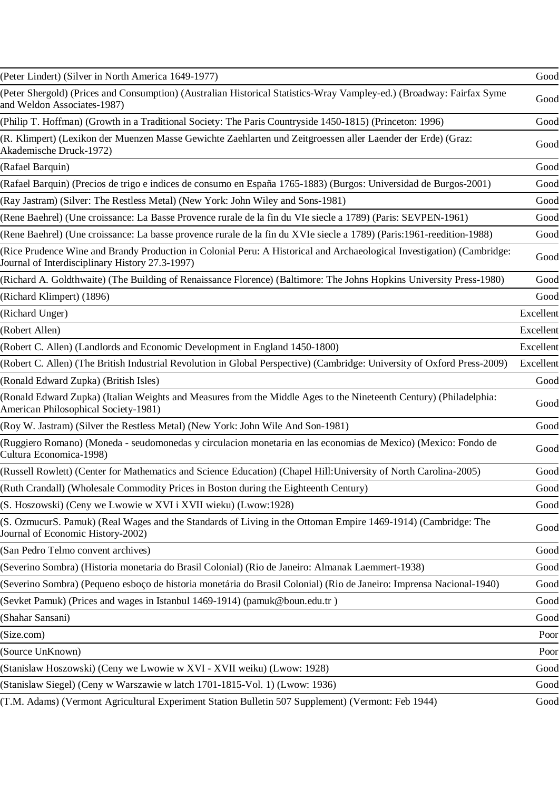| (Peter Lindert) (Silver in North America 1649-1977)                                                                                                                       | Good      |
|---------------------------------------------------------------------------------------------------------------------------------------------------------------------------|-----------|
| (Peter Shergold) (Prices and Consumption) (Australian Historical Statistics-Wray Vampley-ed.) (Broadway: Fairfax Syme<br>and Weldon Associates-1987)                      | Good      |
| (Philip T. Hoffman) (Growth in a Traditional Society: The Paris Countryside 1450-1815) (Princeton: 1996)                                                                  | Good      |
| (R. Klimpert) (Lexikon der Muenzen Masse Gewichte Zaehlarten und Zeitgroessen aller Laender der Erde) (Graz:<br>Akademische Druck-1972)                                   | Good      |
| (Rafael Barquin)                                                                                                                                                          | Good      |
| (Rafael Barquin) (Precios de trigo e indices de consumo en España 1765-1883) (Burgos: Universidad de Burgos-2001)                                                         | Good      |
| (Ray Jastram) (Silver: The Restless Metal) (New York: John Wiley and Sons-1981)                                                                                           | Good      |
| (Rene Baehrel) (Une croissance: La Basse Provence rurale de la fin du VIe siecle a 1789) (Paris: SEVPEN-1961)                                                             | Good      |
| (Rene Baehrel) (Une croissance: La basse provence rurale de la fin du XVIe siecle a 1789) (Paris:1961-reedition-1988)                                                     | Good      |
| (Rice Prudence Wine and Brandy Production in Colonial Peru: A Historical and Archaeological Investigation) (Cambridge:<br>Journal of Interdisciplinary History 27.3-1997) | Good      |
| (Richard A. Goldthwaite) (The Building of Renaissance Florence) (Baltimore: The Johns Hopkins University Press-1980)                                                      | Good      |
| (Richard Klimpert) (1896)                                                                                                                                                 | Good      |
| (Richard Unger)                                                                                                                                                           | Excellent |
| (Robert Allen)                                                                                                                                                            | Excellent |
| (Robert C. Allen) (Landlords and Economic Development in England 1450-1800)                                                                                               | Excellent |
| (Robert C. Allen) (The British Industrial Revolution in Global Perspective) (Cambridge: University of Oxford Press-2009)                                                  | Excellent |
| (Ronald Edward Zupka) (British Isles)                                                                                                                                     | Good      |
| (Ronald Edward Zupka) (Italian Weights and Measures from the Middle Ages to the Nineteenth Century) (Philadelphia:<br>American Philosophical Society-1981)                | Good      |
| (Roy W. Jastram) (Silver the Restless Metal) (New York: John Wile And Son-1981)                                                                                           | Good      |
| (Ruggiero Romano) (Moneda - seudomonedas y circulacion monetaria en las economias de Mexico) (Mexico: Fondo de<br>Cultura Economica-1998)                                 | Good      |
| (Russell Rowlett) (Center for Mathematics and Science Education) (Chapel Hill: University of North Carolina-2005)                                                         | Good      |
| (Ruth Crandall) (Wholesale Commodity Prices in Boston during the Eighteenth Century)                                                                                      | Good      |
| (S. Hoszowski) (Ceny we Lwowie w XVI i XVII wieku) (Lwow:1928)                                                                                                            | Good      |
| (S. OzmucurS. Pamuk) (Real Wages and the Standards of Living in the Ottoman Empire 1469-1914) (Cambridge: The<br>Journal of Economic History-2002)                        | Good      |
| (San Pedro Telmo convent archives)                                                                                                                                        | Good      |
| (Severino Sombra) (Historia monetaria do Brasil Colonial) (Rio de Janeiro: Almanak Laemmert-1938)                                                                         | Good      |
| (Severino Sombra) (Pequeno esboço de historia monetária do Brasil Colonial) (Rio de Janeiro: Imprensa Nacional-1940)                                                      | Good      |
| (Sevket Pamuk) (Prices and wages in Istanbul 1469-1914) (pamuk@boun.edu.tr)                                                                                               | Good      |
| (Shahar Sansani)                                                                                                                                                          | Good      |
| (Size.com)                                                                                                                                                                | Poor      |
| (Source UnKnown)                                                                                                                                                          | Poor      |
| (Stanislaw Hoszowski) (Ceny we Lwowie w XVI - XVII weiku) (Lwow: 1928)                                                                                                    | Good      |
| (Stanislaw Siegel) (Ceny w Warszawie w latch 1701-1815-Vol. 1) (Lwow: 1936)                                                                                               | Good      |
| (T.M. Adams) (Vermont Agricultural Experiment Station Bulletin 507 Supplement) (Vermont: Feb 1944)                                                                        | Good      |